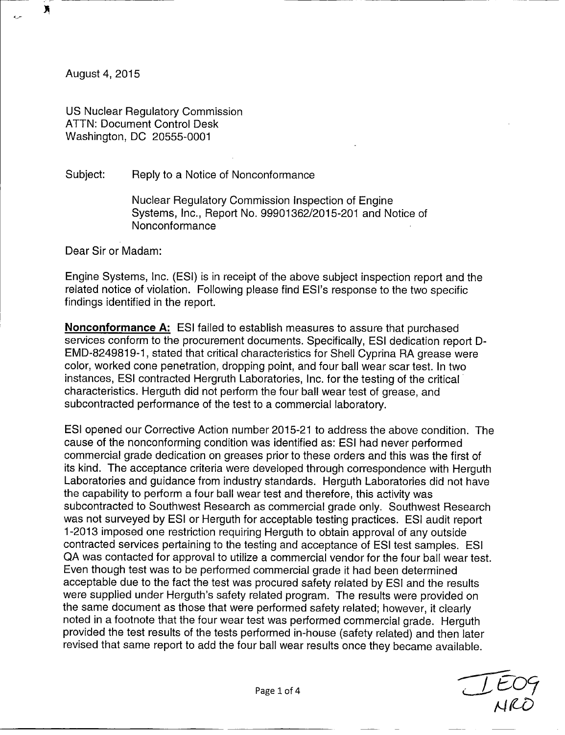August 4, 2015

λ

US Nuclear Regulatory Commission ATTN: Document Control Desk Washington, DC 20555-0001

Subject: Reply to a Notice of Nonconformance

Nuclear Regulatory Commission Inspection of Engine Systems, Inc., Report No. 99901362/2015-201 and Notice of Nonconformance

Dear Sir or Madam:

Engine Systems, Inc. (ESI) is in receipt of the above subject inspection report and the related notice of violation. Following please find ESI's response to the two specific findings identified in the report.

**Nonconformance A:** ESI failed to establish measures to assure that purchased services conform to the procurement documents. Specifically, ESI dedication report D-EMD-8249819-1, stated that critical characteristics for Shell Cyprina RA grease were color, worked cone penetration, dropping point, and four ball wear scar test. In two instances, ESI contracted Hergruth Laboratories, Inc. for the testing of the critical characteristics. Herguth did not perform the four ball wear test of grease, and subcontracted performance of the test to a commercial laboratory.

ESl opened our Corrective Action number 2015-21 to address the above condition. The cause of the nonconforming condition was identified as: ESI had never performed commercial grade dedication on greases prior to these orders and this was the first of its kind. The acceptance criteria were developed through correspondence with Herguth Laboratories and guidance from industry standards. Herguth Laboratories did not have the capability to perform a four ball wear test and therefore, this activity was subcontracted to Southwest Research as commercial grade only. Southwest Research was not surveyed by ESI or Herguth for acceptable testing practices. ESI audit report 1-2013 imposed one restriction requiring Herguth to obtain approval of any outside contracted services pertaining to the testing and acceptance of ESI test samples. ESI QA was contacted for approval to utilize a commercial vendor for the four ball wear test. Even though test was to be performed commercial grade it had been determined acceptable due to the fact the test was procured safety related by ESI and the results were supplied under Herguth's safety related program. The results were provided on the same document as those that were performed safety related; however, it clearly noted in a footnote that the four wear test was performed commercial grade. Herguth provided the test results of the tests performed in-house (safety related) and then later revised that same report to add the four ball wear results once they became available.

 $\overline{\phantom{a}}$ */f4-*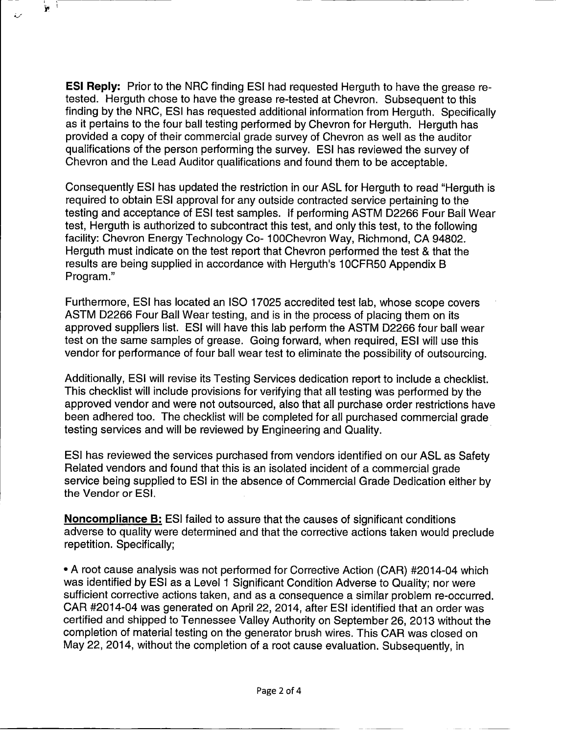**ESI Reply:** Prior to the NRC finding ESI had requested Herguth to have the grease retested. Herguth chose to have the grease re-tested at Chevron. Subsequent to this finding by the NRC, ESI has requested additional information from Herguth. Specifically as it pertains to the four ball testing performed by Chevron for Herguth. Herguth has provided a copy of their commercial grade survey of Chevron as well as the auditor qualifications of the person performing the survey. ESI has reviewed the survey of Chevron and the Lead Auditor qualifications and found them to be acceptable.

I'

Consequently ESI has updated the restriction in our ASL for Herguth to read "Herguth is required to obtain ESI approval for any outside contracted service pertaining to the testing and acceptance of ESI test samples. If performing ASTM D2266 Four Ball Wear test, Herguth is authorized to subcontract this test, and only this test, to the following facility: Chevron Energy Technology Co- 100Chevron Way, Richmond, CA 94802. Herguth must indicate on the test report that Chevron performed the test & that the results are being supplied in accordance with Herguth's 10CFR50 Appendix B Program."

Furthermore, ESI has located an ISO 17025 accredited test lab, whose scope covers ASTM D2266 Four Ball Wear testing, and is in the process of placing them on its approved suppliers list. ESI will have this lab perform the ASTM D2266 four ball wear test on the same samples of grease. Going forward, when required, ESI will use this vendor for performance of four ball wear test to eliminate the possibility of outsourcing.

Additionally, ESI will revise its Testing Services dedication report to include a checklist. This checklist will include provisions for verifying that all testing was performed by the approved vendor and were not outsourced, also that all purchase order restrictions have been adhered too. The checklist will be completed for all purchased commercial grade testing services and will be reviewed by Engineering and Quality.

ESI has reviewed the services purchased from vendors identified on our ASL as Safety Related vendors and found that this is an isolated incident of a commercial grade service being supplied to ESI in the absence of Commercial Grade Dedication either by the Vendor or ESI.

Noncompliance B: ESI failed to assure that the causes of significant conditions adverse to quality were determined and that the corrective actions taken would preclude repetition. Specifically;

\* A root cause analysis was not performed for Corrective Action (CAR) #2014-04 which was identified by ESI as a Level 1 Significant Condition Adverse to Quality; nor were sufficient corrective actions taken, and as a consequence a similar problem re-occurred. CAR #2014-04 was generated on April 22, 2014, after ESI identified that an order was certified and shipped to Tennessee Valley Authority on September 26, 2013 without the completion of material testing on the generator brush wires. This CAR was closed on May 22, 2014, without the completion of a root cause evaluation. Subsequently, in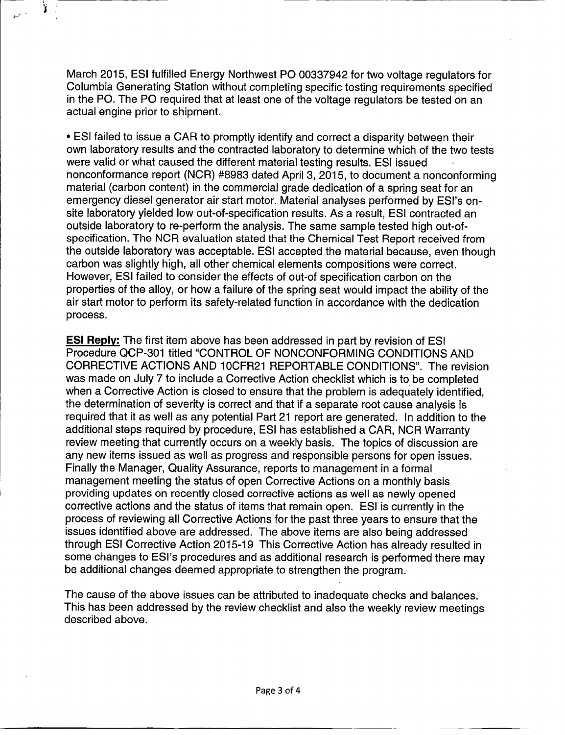March 2015, ESI fulfilled Energy Northwest P0 00337942 for two voltage regulators for Columbia Generating Station without completing specific testing requirements specified in the P0. The P0 required that at least one of the voltage regulators be tested on an actual engine prior to shipment.

Χ

\* ESI failed to issue a CAR to promptly identify and correct a disparity between their own laboratory results and the contracted laboratory to determine which of the two tests were valid or what caused the different material testing results. ESI issued nonconformance report (NCR) #8983 dated April 3, 2015, to document a nonconforming material (carbon content) in the commercial grade dedication of a spring seat for an emergency diesel generator air start motor. Material analyses performed by ESI's onsite laboratory yielded low out-of-specification results. As a result, ESI contracted an outside laboratory to re-perform the analysis. The same sample tested high out-ofspecification. The NCR evaluation stated that the Chemical Test Report received from the outside laboratory was acceptable. ESI accepted the material because, even though carbon was slightly high, all other chemical elements compositions were correct. However, ESI failed to consider the effects of out-of specification carbon on the properties of the alloy, or how a failure of the spring seat would impact the ability of the air start motor to perform its safety-related function in accordance with the dedication process.

**ESI Reply:** The first item above has been addressed in part by revision of ESI Procedure QCP-301 titled "CONTROL OF NONCONFORMING CONDITIONS AND CORRECTIVE ACTIONS AND 10CFR21 REPORTABLE CONDITIONS". The revision was made on July 7 to include a Corrective Action checklist which is to be completed when a Corrective Action is closed to ensure that the problem is adequately identified, the determination of severity is correct and that if a separate root cause analysis is required that it as well as any potential Part 21 report are generated. In addition to the additional steps required by procedure, ESI has established a CAR, NCR Warranty review meeting that currently occurs on a weekly basis. The topics of discussion are any new items issued as well as progress and responsible persons for open issues. Finally the Manager, Quality Assurance, reports to management in a formal management meeting the status of open Corrective Actions on a monthly basis providing updates on recently closed corrective actions as well as newly opened corrective actions and the status of items that remain open. ESI is currently in the process of reviewing all Corrective Actions for the past three years to ensure that the issues identified above are addressed. The above items are also being addressed through ESI Corrective Action 2015-19 This Corrective Action has already resulted in some changes to ESI's procedures and as additional research is performed there may be additional changes deemed appropriate to strengthen the program.

The cause of the above issues can be attributed to inadequate checks and balances. This has been addressed by the review checklist and also the weekly review meetings described above.